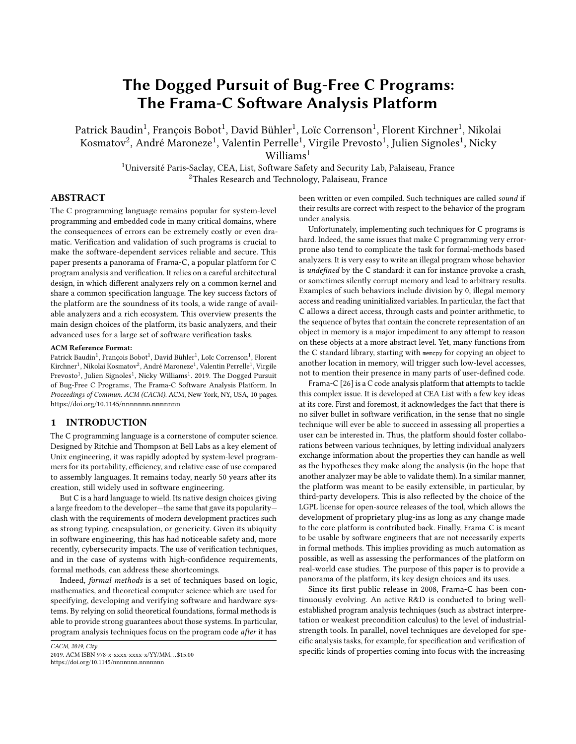# The Dogged Pursuit of Bug-Free C Programs: The Frama-C Software Analysis Platform

Patrick Baudin<sup>1</sup>, François Bobot<sup>1</sup>, David Bühler<sup>1</sup>, Loïc Correnson<sup>1</sup>, Florent Kirchner<sup>1</sup>, Nikolai Kosmatov $^2$ , André Maroneze $^1$ , Valentin Perrelle $^1$ , Virgile Prevosto $^1$ , Julien Signoles $^1$ , Nicky Williams<sup>1</sup>

> <sup>1</sup>Université Paris-Saclay, CEA, List, Software Safety and Security Lab, Palaiseau, France <sup>2</sup>Thales Research and Technology, Palaiseau, France

## ABSTRACT

The C programming language remains popular for system-level programming and embedded code in many critical domains, where the consequences of errors can be extremely costly or even dramatic. Verification and validation of such programs is crucial to make the software-dependent services reliable and secure. This paper presents a panorama of Frama-C, a popular platform for C program analysis and verification. It relies on a careful architectural design, in which different analyzers rely on a common kernel and share a common specification language. The key success factors of the platform are the soundness of its tools, a wide range of available analyzers and a rich ecosystem. This overview presents the main design choices of the platform, its basic analyzers, and their advanced uses for a large set of software verification tasks.

#### ACM Reference Format:

Patrick Baudin $^1$ , François Bobot $^1$ , David Bühler $^1$ , Loïc Correnson $^1$ , Florent Kirchner<sup>1</sup>, Nikolai Kosmatov<sup>2</sup>, André Maroneze<sup>1</sup>, Valentin Perrelle<sup>1</sup>, Virgile Prevosto<sup>1</sup>, Julien Signoles<sup>1</sup>, Nicky Williams<sup>1</sup>. 2019. The Dogged Pursuit of Bug-Free C Programs:, The Frama-C Software Analysis Platform. In Proceedings of Commun. ACM (CACM). ACM, New York, NY, USA, [10](#page-9-0) pages. <https://doi.org/10.1145/nnnnnnn.nnnnnnn>

## 1 INTRODUCTION

The C programming language is a cornerstone of computer science. Designed by Ritchie and Thompson at Bell Labs as a key element of Unix engineering, it was rapidly adopted by system-level programmers for its portability, efficiency, and relative ease of use compared to assembly languages. It remains today, nearly 50 years after its creation, still widely used in software engineering.

But C is a hard language to wield. Its native design choices giving a large freedom to the developer—the same that gave its popularity clash with the requirements of modern development practices such as strong typing, encapsulation, or genericity. Given its ubiquity in software engineering, this has had noticeable safety and, more recently, cybersecurity impacts. The use of verification techniques, and in the case of systems with high-confidence requirements, formal methods, can address these shortcomings.

Indeed, formal methods is a set of techniques based on logic, mathematics, and theoretical computer science which are used for specifying, developing and verifying software and hardware systems. By relying on solid theoretical foundations, formal methods is able to provide strong guarantees about those systems. In particular, program analysis techniques focus on the program code after it has

CACM, 2019, City

2019. ACM ISBN 978-x-xxxx-xxxx-x/YY/MM. . . \$15.00 <https://doi.org/10.1145/nnnnnnn.nnnnnnn>

been written or even compiled. Such techniques are called sound if their results are correct with respect to the behavior of the program under analysis.

Unfortunately, implementing such techniques for C programs is hard. Indeed, the same issues that make C programming very errorprone also tend to complicate the task for formal-methods based analyzers. It is very easy to write an illegal program whose behavior is undefined by the C standard: it can for instance provoke a crash, or sometimes silently corrupt memory and lead to arbitrary results. Examples of such behaviors include division by 0, illegal memory access and reading uninitialized variables. In particular, the fact that C allows a direct access, through casts and pointer arithmetic, to the sequence of bytes that contain the concrete representation of an object in memory is a major impediment to any attempt to reason on these objects at a more abstract level. Yet, many functions from the C standard library, starting with memcpy for copying an object to another location in memory, will trigger such low-level accesses, not to mention their presence in many parts of user-defined code.

Frama-C [\[26\]](#page-9-1) is a C code analysis platform that attempts to tackle this complex issue. It is developed at CEA List with a few key ideas at its core. First and foremost, it acknowledges the fact that there is no silver bullet in software verification, in the sense that no single technique will ever be able to succeed in assessing all properties a user can be interested in. Thus, the platform should foster collaborations between various techniques, by letting individual analyzers exchange information about the properties they can handle as well as the hypotheses they make along the analysis (in the hope that another analyzer may be able to validate them). In a similar manner, the platform was meant to be easily extensible, in particular, by third-party developers. This is also reflected by the choice of the LGPL license for open-source releases of the tool, which allows the development of proprietary plug-ins as long as any change made to the core platform is contributed back. Finally, Frama-C is meant to be usable by software engineers that are not necessarily experts in formal methods. This implies providing as much automation as possible, as well as assessing the performances of the platform on real-world case studies. The purpose of this paper is to provide a panorama of the platform, its key design choices and its uses.

Since its first public release in 2008, Frama-C has been continuously evolving. An active R&D is conducted to bring wellestablished program analysis techniques (such as abstract interpretation or weakest precondition calculus) to the level of industrialstrength tools. In parallel, novel techniques are developed for specific analysis tasks, for example, for specification and verification of specific kinds of properties coming into focus with the increasing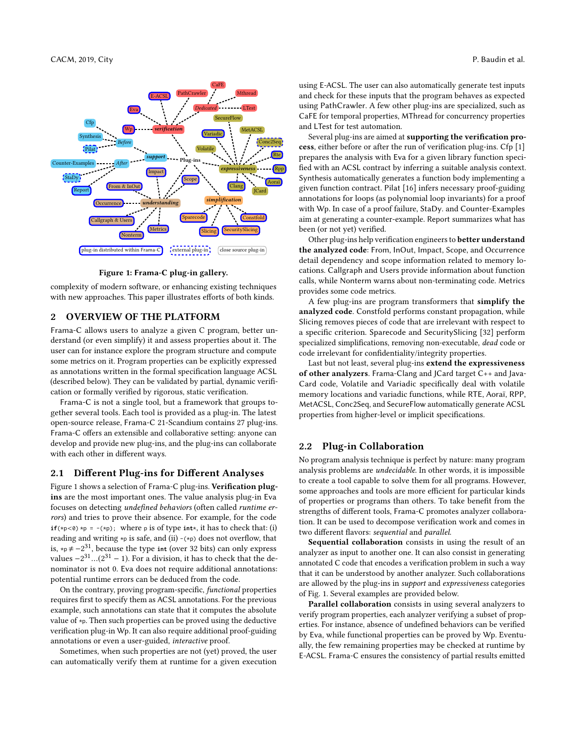<span id="page-1-0"></span>

Figure 1: Frama-C plug-in gallery.

complexity of modern software, or enhancing existing techniques with new approaches. This paper illustrates efforts of both kinds.

#### 2 OVERVIEW OF THE PLATFORM

Frama-C allows users to analyze a given C program, better understand (or even simplify) it and assess properties about it. The user can for instance explore the program structure and compute some metrics on it. Program properties can be explicitly expressed as annotations written in the formal specification language ACSL (described below). They can be validated by partial, dynamic verification or formally verified by rigorous, static verification.

Frama-C is not a single tool, but a framework that groups together several tools. Each tool is provided as a plug-in. The latest open-source release, Frama-C 21-Scandium contains 27 plug-ins. Frama-C offers an extensible and collaborative setting: anyone can develop and provide new plug-ins, and the plug-ins can collaborate with each other in different ways.

## 2.1 Different Plug-ins for Different Analyses

Figure [1](#page-1-0) shows a selection of Frama-C plug-ins. Verification plugins are the most important ones. The value analysis plug-in Eva focuses on detecting undefined behaviors (often called runtime errors) and tries to prove their absence. For example, for the code  $if(\n\times p < 0) \times p = -(\n\times p)$ ; where p is of type  $int \times$ , it has to check that: (i) reading and writing  $\ast$ p is safe, and (ii) -( $\ast$ p) does not overflow, that is,  $*p \neq -2^{31}$ , because the type int (over 32 bits) can only express values  $-2^{31}$ ...( $2^{31} - 1$ ). For a division, it has to check that the de-<br>nominator is not 0. Fyg does not require additional apportations: nominator is not 0. Eva does not require additional annotations: potential runtime errors can be deduced from the code.

On the contrary, proving program-specific, functional properties requires first to specify them as ACSL annotations. For the previous example, such annotations can state that it computes the absolute value of \*p. Then such properties can be proved using the deductive verification plug-in Wp. It can also require additional proof-guiding annotations or even a user-guided, interactive proof.

Sometimes, when such properties are not (yet) proved, the user can automatically verify them at runtime for a given execution using E-ACSL. The user can also automatically generate test inputs and check for these inputs that the program behaves as expected using PathCrawler. A few other plug-ins are specialized, such as CaFE for temporal properties, MThread for concurrency properties and LTest for test automation.

Several plug-ins are aimed at supporting the verification process, either before or after the run of verification plug-ins. Cfp [\[1\]](#page-9-2) prepares the analysis with Eva for a given library function specified with an ACSL contract by inferring a suitable analysis context. Synthesis automatically generates a function body implementing a given function contract. Pilat [\[16\]](#page-9-3) infers necessary proof-guiding annotations for loops (as polynomial loop invariants) for a proof with Wp. In case of a proof failure, StaDy. and Counter-Examples aim at generating a counter-example. Report summarizes what has been (or not yet) verified.

Other plug-ins help verification engineers to better understand the analyzed code: From, InOut, Impact, Scope, and Occurrence detail dependency and scope information related to memory locations. Callgraph and Users provide information about function calls, while Nonterm warns about non-terminating code. Metrics provides some code metrics.

A few plug-ins are program transformers that simplify the analyzed code. Constfold performs constant propagation, while Slicing removes pieces of code that are irrelevant with respect to a specific criterion. Sparecode and SecuritySlicing [\[32\]](#page-9-4) perform specialized simplifications, removing non-executable, dead code or code irrelevant for confidentiality/integrity properties.

Last but not least, several plug-ins extend the expressiveness of other analyzers. Frama-Clang and JCard target C++ and Java-Card code, Volatile and Variadic specifically deal with volatile memory locations and variadic functions, while RTE, Aoraï, RPP, MetACSL, Conc2Seq, and SecureFlow automatically generate ACSL properties from higher-level or implicit specifications.

### 2.2 Plug-in Collaboration

No program analysis technique is perfect by nature: many program analysis problems are undecidable. In other words, it is impossible to create a tool capable to solve them for all programs. However, some approaches and tools are more efficient for particular kinds of properties or programs than others. To take benefit from the strengths of different tools, Frama-C promotes analyzer collaboration. It can be used to decompose verification work and comes in two different flavors: sequential and parallel.

Sequential collaboration consists in using the result of an analyzer as input to another one. It can also consist in generating annotated C code that encodes a verification problem in such a way that it can be understood by another analyzer. Such collaborations are allowed by the plug-ins in support and expressiveness categories of Fig. [1.](#page-1-0) Several examples are provided below.

Parallel collaboration consists in using several analyzers to verify program properties, each analyzer verifying a subset of properties. For instance, absence of undefined behaviors can be verified by Eva, while functional properties can be proved by Wp. Eventually, the few remaining properties may be checked at runtime by E-ACSL. Frama-C ensures the consistency of partial results emitted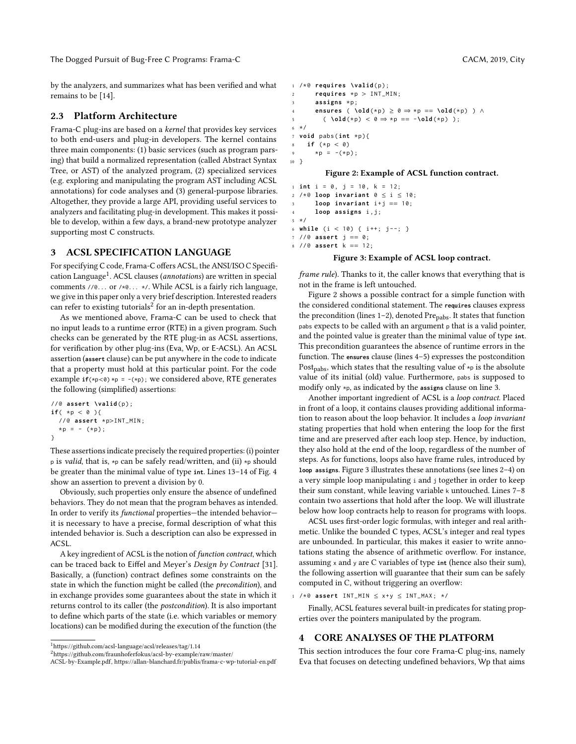by the analyzers, and summarizes what has been verified and what remains to be [\[14\]](#page-9-5).

#### 2.3 Platform Architecture

Frama-C plug-ins are based on a kernel that provides key services to both end-users and plug-in developers. The kernel contains three main components: (1) basic services (such as program parsing) that build a normalized representation (called Abstract Syntax Tree, or AST) of the analyzed program, (2) specialized services (e.g. exploring and manipulating the program AST including ACSL annotations) for code analyses and (3) general-purpose libraries. Altogether, they provide a large API, providing useful services to analyzers and facilitating plug-in development. This makes it possible to develop, within a few days, a brand-new prototype analyzer supporting most C constructs.

## 3 ACSL SPECIFICATION LANGUAGE

For specifying C code, Frama-C offers ACSL, the ANSI/ISO C Specifi-cation Language<sup>[1](#page-2-0)</sup>. ACSL clauses (annotations) are written in special comments //@... or /\*@... \*/. While ACSL is a fairly rich language, we give in this paper only a very brief description. Interested readers can refer to existing tutorials $^2$  $^2$  for an in-depth presentation.

As we mentioned above, Frama-C can be used to check that no input leads to a runtime error (RTE) in a given program. Such checks can be generated by the RTE plug-in as ACSL assertions, for verification by other plug-ins (Eva, Wp, or E-ACSL). An ACSL assertion (**assert** clause) can be put anywhere in the code to indicate that a property must hold at this particular point. For the code example  $if(\n $\uparrow p < \emptyset$ ) *p = -( $\uparrow p$ )$ ; we considered above, RTE generates the following (simplified) assertions:

```
// @ assert \valid ( p ) ;
if('kp < 0)// @ assert * p>INT_MIN ;
  * p = - (* p);}
```
These assertions indicate precisely the required properties: (i) pointer p is valid, that is, \*p can be safely read/written, and (ii) \*p should be greater than the minimal value of type **int**. Lines 13–14 of Fig. [4](#page-3-0) show an assertion to prevent a division by 0.

Obviously, such properties only ensure the absence of undefined behaviors. They do not mean that the program behaves as intended. In order to verify its functional properties—the intended behavior it is necessary to have a precise, formal description of what this intended behavior is. Such a description can also be expressed in ACSL.

A key ingredient of ACSL is the notion of function contract, which can be traced back to Eiffel and Meyer's Design by Contract [\[31\]](#page-9-6). Basically, a (function) contract defines some constraints on the state in which the function might be called (the precondition), and in exchange provides some guarantees about the state in which it returns control to its caller (the postcondition). It is also important to define which parts of the state (i.e. which variables or memory locations) can be modified during the execution of the function (the

```
^1https://github.com/acsl-language/acsl/releases/tag/1.14
```

```
2https://github.com/fraunhoferfokus/acsl-by-example/raw/master/
ACSL-by-Example.pdf, https://allan-blanchard.fr/publis/frama-c-wp-tutorial-en.pdf
```
<sup>1</sup> /\* @ **assert** INT\_MIN ≤ x + y ≤ INT\_MAX ; \*/

Finally, ACSL features several built-in predicates for stating properties over the pointers manipulated by the program.

#### 4 CORE ANALYSES OF THE PLATFORM

This section introduces the four core Frama-C plug-ins, namely Eva that focuses on detecting undefined behaviors, Wp that aims

```
1 /*@ requires \valid(p);
r = \text{requires } *p > \text{INT\_MIN};<br>
\text{assigns } *passigns *p:
4 ensures ( \old (* p ) ≥ 0 ⇒ * p == \old (* p ) ) ∧
5 ( \lambdaold(\star p) < \theta \Rightarrow \star p = -\lambdaold(\star p) );
6 */
7 void pabs ( int * p ) {
8 if (*p < 0)<br>9 *p = -(*p)*p = -(*p);10 }
```
#### Figure 2: Example of ACSL function contract.

```
1 int i = 0, j = 10, k = 12;
2 / * @ loop invariant 0 \le i \le 10;
3 loop invariant i+j == 10;
4 loop assigns i , j ;
5 */
6 while (i < 10) { i++; j--; }
7 // @ assert j == 0;
8 // @ assert k == 12;
```
#### Figure 3: Example of ACSL loop contract.

frame rule). Thanks to it, the caller knows that everything that is not in the frame is left untouched.

Figure [2](#page-2-2) shows a possible contract for a simple function with the considered conditional statement. The **requires** clauses express the precondition (lines  $1-2$ ), denoted  $Pre<sub>pabs</sub>$ . It states that function pabs expects to be called with an argument p that is a valid pointer, and the pointed value is greater than the minimal value of type **int**. This precondition guarantees the absence of runtime errors in the function. The **ensures** clause (lines 4–5) expresses the postcondition Post<sub>nabs</sub>, which states that the resulting value of  $\star_p$  is the absolute value of its initial (old) value. Furthermore, pabs is supposed to modify only \*p, as indicated by the **assigns** clause on line 3.

Another important ingredient of ACSL is a loop contract. Placed in front of a loop, it contains clauses providing additional information to reason about the loop behavior. It includes a loop invariant stating properties that hold when entering the loop for the first time and are preserved after each loop step. Hence, by induction, they also hold at the end of the loop, regardless of the number of steps. As for functions, loops also have frame rules, introduced by **loop assigns**. Figure [3](#page-2-3) illustrates these annotations (see lines 2–4) on a very simple loop manipulating i and j together in order to keep their sum constant, while leaving variable k untouched. Lines 7–8 contain two assertions that hold after the loop. We will illustrate below how loop contracts help to reason for programs with loops.

ACSL uses first-order logic formulas, with integer and real arithmetic. Unlike the bounded C types, ACSL's integer and real types are unbounded. In particular, this makes it easier to write annotations stating the absence of arithmetic overflow. For instance, assuming x and y are C variables of type **int** (hence also their sum), the following assertion will guarantee that their sum can be safely computed in C, without triggering an overflow: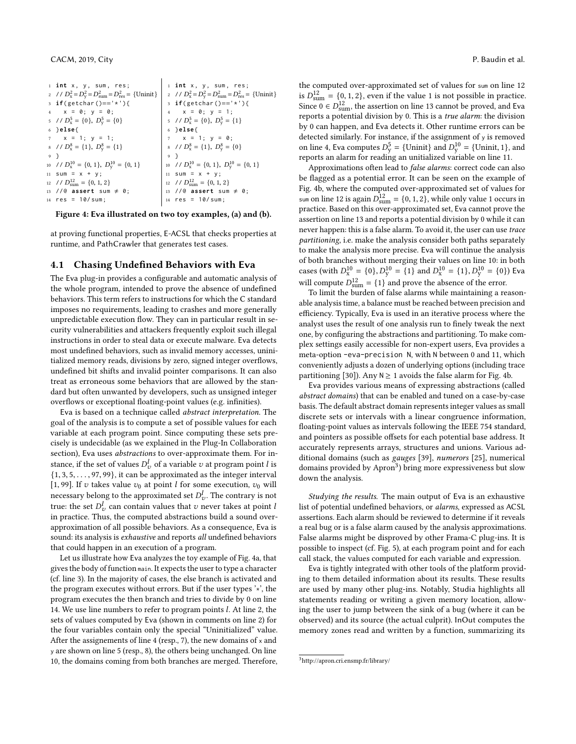```
1 int x, y, sum, res:
 2 // D_x^2 = D_y^2 = D_{\text{sum}}^2 = D_{\text{res}}^2 = \{ \text{Unit} \}3 if( getchar ()=='*') {
    x = 0; y = 0;
 5 // D_x^5 = \{0\}, D_y^5 = \{0\}6 } else {
      x = 1; y = 1;
 8 / / D_x^8 = \{1\}, D_y^8 = \{1\}9 }
10 // D_x^{10} = \{0, 1\}, D_y^{10} = \{0, 1\}11 sum = x + y;12 // D_{\text{sum}}^{12} = \{0, 1, 2\}13 //@ assert sum \neq 0;
14 res = 10/ sum ;
                                                1 int x, y, sum, res;
                                                 2 // D_x^2 = D_y^2 = D_{\text{sum}}^2 = D_{\text{res}}^2 = \{ \text{Unit} \}3 if( getchar ()=='*') {
                                                4 \times = 0; y = 1;
                                                 5 // D_x^5 = \{0\}, D_y^5 = \{1\}6 } else {
                                                     x = 1; y = 0;8 / / D_x^8 = \{1\}, D_y^8 = \{0\}9 }
                                                10 // D_x^{10} = \{0, 1\}, D_y^{10} = \{0, 1\}11 sum = x + y;
                                                12 // D_{\text{sum}}^{12} = \{0, 1, 2\}13 //@ assert sum \neq 0;
                                               14 res = 10/ sum:
```
Figure 4: Eva illustrated on two toy examples, (a) and (b).

at proving functional properties, E-ACSL that checks properties at runtime, and PathCrawler that generates test cases.

#### 4.1 Chasing Undefined Behaviors with Eva

The Eva plug-in provides a configurable and automatic analysis of the whole program, intended to prove the absence of undefined behaviors. This term refers to instructions for which the C standard imposes no requirements, leading to crashes and more generally unpredictable execution flow. They can in particular result in security vulnerabilities and attackers frequently exploit such illegal instructions in order to steal data or execute malware. Eva detects most undefined behaviors, such as invalid memory accesses, uninitialized memory reads, divisions by zero, signed integer overflows, undefined bit shifts and invalid pointer comparisons. It can also treat as erroneous some behaviors that are allowed by the standard but often unwanted by developers, such as unsigned integer overflows or exceptional floating-point values (e.g. infinities).

Eva is based on a technique called abstract interpretation. The goal of the analysis is to compute a set of possible values for each variable at each program point. Since computing these sets precisely is undecidable (as we explained in the Plug-In Collaboration section), Eva uses abstractions to over-approximate them. For instance, if the set of values  $D_v^l$  of a variable v at program point l is<br>  $\begin{pmatrix} 1 & 3 & 5 \\ 1 & 3 & 5 \end{pmatrix}$  or 99) it can be approximated as the interes interval  ${1, 3, 5, \ldots, 97, 99}$ , it can be approximated as the integer interval [1, 99]. If v takes value  $v_0$  at point *l* for some execution,  $v_0$  will necessary belong to the approximated set  $D_v^l$ . The contrary is not the set  $D_v^l$  contrary is not the set  $D_v^l$ true: the set  $D_{\nu}^{l}$  can contain values that v never takes at point *l* in practice. Thus, the computed abstractions build a sound overapproximation of all possible behaviors. As a consequence, Eva is sound: its analysis is exhaustive and reports all undefined behaviors that could happen in an execution of a program.

Let us illustrate how Eva analyzes the toy example of Fig. [4a](#page-3-0), that gives the body of function main. It expects the user to type a character (cf. line 3). In the majority of cases, the else branch is activated and the program executes without errors. But if the user types '\*', the program executes the then branch and tries to divide by 0 on line 14. We use line numbers to refer to program points l. At line 2, the sets of values computed by Eva (shown in comments on line 2) for the four variables contain only the special "Uninitialized" value. After the assignements of line 4 (resp., 7), the new domains of  $x$  and y are shown on line 5 (resp., 8), the others being unchanged. On line 10, the domains coming from both branches are merged. Therefore,

the computed over-approximated set of values for sum on line 12 is  $D_{\text{sum}}^{12} = \{0, 1, 2\}$ , even if the value 1 is not possible in practice. Since  $0 \in D_{\text{sum}}^{12}$ , the assertion on line 13 cannot be proved, and Eva<br>reports a potential division by 0. This is a *true alarm*: the division reports a potential division by 0. This is a true alarm: the division by 0 can happen, and Eva detects it. Other runtime errors can be detected similarly. For instance, if the assignment of y is removed on line 4, Eva computes  $D_y^5 = \{ \text{Uninit} \}$  and  $D_y^{10} = \{ \text{Uninit}, 1 \}$ , and reports an alarm for reading an unitialized variable on line 11 reports an alarm for reading an unitialized variable on line 11.

Approximations often lead to false alarms: correct code can also be flagged as a potential error. It can be seen on the example of Fig. [4b](#page-3-0), where the computed over-approximated set of values for sum on line 12 is again  $D_{\text{sum}}^{12} = \{0, 1, 2\}$ , while only value 1 occurs in practice. Based on this over-approximated set, Eva cannot prove the assertion on line 13 and reports a potential division by 0 while it can never happen: this is a false alarm. To avoid it, the user can use trace partitioning, i.e. make the analysis consider both paths separately to make the analysis more precise. Eva will continue the analysis of both branches without merging their values on line 10: in both cases (with  $D_x^{10} = \{0\}$ ,  $D_y^{10} = \{1\}$  and  $D_x^{10} = \{1\}$ ,  $D_y^{10} = \{0\}$ ) Eva will compute  $D_{\text{sum}}^{12} = \{1\}$  and prove the absence of the error.<br>To limit the burden of false alarms while maintaining a re

To limit the burden of false alarms while maintaining a reasonable analysis time, a balance must be reached between precision and efficiency. Typically, Eva is used in an iterative process where the analyst uses the result of one analysis run to finely tweak the next one, by configuring the abstractions and partitioning. To make complex settings easily accessible for non-expert users, Eva provides a meta-option -eva-precision N, with N between 0 and 11, which conveniently adjusts a dozen of underlying options (including trace partitioning [\[30\]](#page-9-7)). Any  $N \ge 1$  avoids the false alarm for Fig. [4b](#page-3-0).

Eva provides various means of expressing abstractions (called abstract domains) that can be enabled and tuned on a case-by-case basis. The default abstract domain represents integer values as small discrete sets or intervals with a linear congruence information, floating-point values as intervals following the IEEE 754 standard, and pointers as possible offsets for each potential base address. It accurately represents arrays, structures and unions. Various additional domains (such as gauges [\[39\]](#page-9-8), numerors [\[25\]](#page-9-9), numerical domains provided by Apron<sup>[3](#page-3-1)</sup>) bring more expressiveness but slow down the analysis.

Studying the results. The main output of Eva is an exhaustive list of potential undefined behaviors, or alarms, expressed as ACSL assertions. Each alarm should be reviewed to determine if it reveals a real bug or is a false alarm caused by the analysis approximations. False alarms might be disproved by other Frama-C plug-ins. It is possible to inspect (cf. Fig. [5\)](#page-4-0), at each program point and for each call stack, the values computed for each variable and expression.

Eva is tightly integrated with other tools of the platform providing to them detailed information about its results. These results are used by many other plug-ins. Notably, Studia highlights all statements reading or writing a given memory location, allowing the user to jump between the sink of a bug (where it can be observed) and its source (the actual culprit). InOut computes the memory zones read and written by a function, summarizing its

<span id="page-3-1"></span> $^3$ <http://apron.cri.ensmp.fr/library/>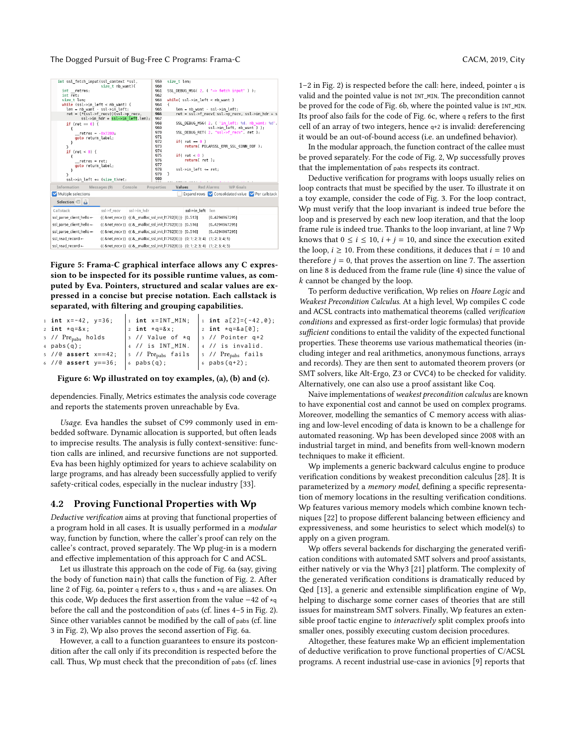<span id="page-4-0"></span>

Figure 5: Frama-C graphical interface allows any C expression to be inspected for its possible runtime values, as computed by Eva. Pointers, structured and scalar values are expressed in a concise but precise notation. Each callstack is separated, with filtering and grouping capabilities.

<span id="page-4-1"></span>

| 1 int $x=-42$ , $y=36$ ;       | $1$ int $x = INT_MIN;$             | 1 int a[2]={-42,0};                    |
|--------------------------------|------------------------------------|----------------------------------------|
| 2 int $\star$ q=&x             | $ z $ int $\star$ q=&x             | 2 int $\star$ q=&a[0];                 |
| 3 // Pre <sub>pabs</sub> holds | $ 3 \t/$ Value of $*q$             | $ 3 / /$ Pointer q+2                   |
| $4$ pabs $(q)$ ;               | $ 4 / /$ is INT_MIN.               | $ 4 / 1$ is invalid.                   |
| $5$ //@ assert x==42;          | $ 5 / /$ Pre <sub>pabs</sub> fails | $\vert$ 5 // $Pre_{\text{pabs}}$ fails |
| $6$ // $@$ assert $y == 36$ ;  | $  6$ pabs $(q)$ ;                 | 6 $pabs(q+2)$ ;                        |
|                                |                                    |                                        |

Figure 6: Wp illustrated on toy examples, (a), (b) and (c).

dependencies. Finally, Metrics estimates the analysis code coverage and reports the statements proven unreachable by Eva.

Usage. Eva handles the subset of C99 commonly used in embedded software. Dynamic allocation is supported, but often leads to imprecise results. The analysis is fully context-sensitive: function calls are inlined, and recursive functions are not supported. Eva has been highly optimized for years to achieve scalability on large programs, and has already been successfully applied to verify safety-critical codes, especially in the nuclear industry [\[33\]](#page-9-10).

#### 4.2 Proving Functional Properties with Wp

Deductive verification aims at proving that functional properties of a program hold in all cases. It is usually performed in a modular way, function by function, where the caller's proof can rely on the callee's contract, proved separately. The Wp plug-in is a modern and effective implementation of this approach for C and ACSL.

Let us illustrate this approach on the code of Fig. [6a](#page-4-1) (say, giving the body of function main) that calls the function of Fig. [2.](#page-2-2) After line 2 of Fig. [6a](#page-4-1), pointer q refers to x, thus x and \*q are aliases. On this code, Wp deduces the first assertion from the value −42 of \*q before the call and the postcondition of pabs (cf. lines 4–5 in Fig. [2\)](#page-2-2). Since other variables cannot be modified by the call of pabs (cf. line 3 in Fig. [2\)](#page-2-2), Wp also proves the second assertion of Fig. [6a](#page-4-1).

However, a call to a function guarantees to ensure its postcondition after the call only if its precondition is respected before the call. Thus, Wp must check that the precondition of pabs (cf. lines

1–2 in Fig. [2\)](#page-2-2) is respected before the call: here, indeed, pointer q is valid and the pointed value is not INT\_MIN. The precondition cannot be proved for the code of Fig. [6b](#page-4-1), where the pointed value is INT\_MIN. Its proof also fails for the code of Fig. [6c](#page-4-1), where q refers to the first cell of an array of two integers, hence q+2 is invalid: dereferencing it would be an out-of-bound access (i.e. an undefined behavior).

In the modular approach, the function contract of the callee must be proved separately. For the code of Fig. [2,](#page-2-2) Wp successfully proves that the implementation of pabs respects its contract.

Deductive verification for programs with loops usually relies on loop contracts that must be specified by the user. To illustrate it on a toy example, consider the code of Fig. [3.](#page-2-3) For the loop contract, Wp must verify that the loop invariant is indeed true before the loop and is preserved by each new loop iteration, and that the loop frame rule is indeed true. Thanks to the loop invariant, at line 7 Wp knows that  $0 \le i \le 10$ ,  $i + j = 10$ , and since the execution exited the loop,  $i \geq 10$ . From these conditions, it deduces that  $i = 10$  and therefore  $j = 0$ , that proves the assertion on line 7. The assertion on line 8 is deduced from the frame rule (line 4) since the value of k cannot be changed by the loop.

To perform deductive verification, Wp relies on Hoare Logic and Weakest Precondition Calculus. At a high level, Wp compiles C code and ACSL contracts into mathematical theorems (called verification conditions and expressed as first-order logic formulas) that provide sufficient conditions to entail the validity of the expected functional properties. These theorems use various mathematical theories (including integer and real arithmetics, anonymous functions, arrays and records). They are then sent to automated theorem provers (or SMT solvers, like Alt-Ergo, Z3 or CVC4) to be checked for validity. Alternatively, one can also use a proof assistant like Coq.

Naive implementations of weakest precondition calculus are known to have exponential cost and cannot be used on complex programs. Moreover, modelling the semantics of C memory access with aliasing and low-level encoding of data is known to be a challenge for automated reasoning. Wp has been developed since 2008 with an industrial target in mind, and benefits from well-known modern techniques to make it efficient.

Wp implements a generic backward calculus engine to produce verification conditions by weakest precondition calculus [\[28\]](#page-9-11). It is parameterized by a memory model, defining a specific representation of memory locations in the resulting verification conditions. Wp features various memory models which combine known techniques [\[22\]](#page-9-12) to propose different balancing between efficiency and expressiveness, and some heuristics to select which model(s) to apply on a given program.

Wp offers several backends for discharging the generated verification conditions with automated SMT solvers and proof assistants, either natively or via the Why3 [\[21\]](#page-9-13) platform. The complexity of the generated verification conditions is dramatically reduced by Qed [\[13\]](#page-9-14), a generic and extensible simplification engine of Wp, helping to discharge some corner cases of theories that are still issues for mainstream SMT solvers. Finally, Wp features an extensible proof tactic engine to interactively split complex proofs into smaller ones, possibly executing custom decision procedures.

Altogether, these features make Wp an efficient implementation of deductive verification to prove functional properties of C/ACSL programs. A recent industrial use-case in avionics [\[9\]](#page-9-15) reports that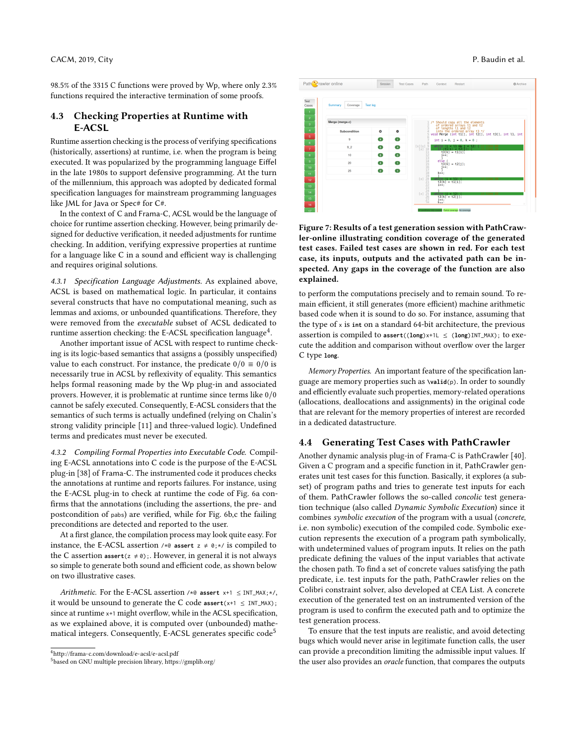98.5% of the 3315 C functions were proved by Wp, where only 2.3% functions required the interactive termination of some proofs.

## 4.3 Checking Properties at Runtime with E-ACSL

Runtime assertion checking is the process of verifying specifications (historically, assertions) at runtime, i.e. when the program is being executed. It was popularized by the programming language Eiffel in the late 1980s to support defensive programming. At the turn of the millennium, this approach was adopted by dedicated formal specification languages for mainstream programming languages like JML for Java or Spec# for C#.

In the context of C and Frama-C, ACSL would be the language of choice for runtime assertion checking. However, being primarily designed for deductive verification, it needed adjustments for runtime checking. In addition, verifying expressive properties at runtime for a language like C in a sound and efficient way is challenging and requires original solutions.

4.3.1 Specification Language Adjustments. As explained above, ACSL is based on mathematical logic. In particular, it contains several constructs that have no computational meaning, such as lemmas and axioms, or unbounded quantifications. Therefore, they were removed from the executable subset of ACSL dedicated to runtime assertion checking: the E-ACSL specification language $^4$  $^4$ .

Another important issue of ACSL with respect to runtime checking is its logic-based semantics that assigns a (possibly unspecified) value to each construct. For instance, the predicate  $0/0 \equiv 0/0$  is necessarily true in ACSL by reflexivity of equality. This semantics helps formal reasoning made by the Wp plug-in and associated provers. However, it is problematic at runtime since terms like 0/0 cannot be safely executed. Consequently, E-ACSL considers that the semantics of such terms is actually undefined (relying on Chalin's strong validity principle [\[11\]](#page-9-16) and three-valued logic). Undefined terms and predicates must never be executed.

4.3.2 Compiling Formal Properties into Executable Code. Compiling E-ACSL annotations into C code is the purpose of the E-ACSL plug-in [\[38\]](#page-9-17) of Frama-C. The instrumented code it produces checks the annotations at runtime and reports failures. For instance, using the E-ACSL plug-in to check at runtime the code of Fig. [6a](#page-4-1) confirms that the annotations (including the assertions, the pre- and postcondition of pabs) are verified, while for Fig. [6b](#page-4-1),c the failing preconditions are detected and reported to the user.

At a first glance, the compilation process may look quite easy. For instance, the E-ACSL assertion  $\forall x \in \mathfrak{g}$  assert  $z \neq \emptyset$ ;  $\forall x$  is compiled to the C assertion  $\textsf{assert}(z \neq 0)$ ;. However, in general it is not always so simple to generate both sound and efficient code, as shown below on two illustrative cases.

Arithmetic. For the E-ACSL assertion /\*@ **assert** x+1 ≤ INT\_MAX;\*/, it would be unsound to generate the C code  $\text{assert}(x+1 \leq \text{INT\_MAX})$ ; since at runtime  $x+1$  might overflow, while in the ACSL specification, as we explained above, it is computed over (unbounded) mathe-matical integers. Consequently, E-ACSL generates specific code<sup>[5](#page-5-1)</sup>



<span id="page-5-2"></span>Path<sup>2</sup>rawler online

Figure 7: Results of a test generation session with PathCrawler-online illustrating condition coverage of the generated test cases. Failed test cases are shown in red. For each test case, its inputs, outputs and the activated path can be inspected. Any gaps in the coverage of the function are also explained.

to perform the computations precisely and to remain sound. To remain efficient, it still generates (more efficient) machine arithmetic based code when it is sound to do so. For instance, assuming that the type of x is **int** on a standard 64-bit architecture, the previous assertion is compiled to  $\text{assert}((\text{long})x+1L \leq (\text{long})INT\_MAX)$ ; to execute the addition and comparison without overflow over the larger C type **long**.

Memory Properties. An important feature of the specification language are memory properties such as **\valid**(p). In order to soundly and efficiently evaluate such properties, memory-related operations (allocations, deallocations and assignments) in the original code that are relevant for the memory properties of interest are recorded in a dedicated datastructure.

#### 4.4 Generating Test Cases with PathCrawler

Another dynamic analysis plug-in of Frama-C is PathCrawler [\[40\]](#page-9-18). Given a C program and a specific function in it, PathCrawler generates unit test cases for this function. Basically, it explores (a subset) of program paths and tries to generate test inputs for each of them. PathCrawler follows the so-called concolic test generation technique (also called Dynamic Symbolic Execution) since it combines symbolic execution of the program with a usual (concrete, i.e. non symbolic) execution of the compiled code. Symbolic execution represents the execution of a program path symbolically, with undetermined values of program inputs. It relies on the path predicate defining the values of the input variables that activate the chosen path. To find a set of concrete values satisfying the path predicate, i.e. test inputs for the path, PathCrawler relies on the Colibri constraint solver, also developed at CEA List. A concrete execution of the generated test on an instrumented version of the program is used to confirm the executed path and to optimize the test generation process.

To ensure that the test inputs are realistic, and avoid detecting bugs which would never arise in legitimate function calls, the user can provide a precondition limiting the admissible input values. If the user also provides an oracle function, that compares the outputs

**C** Archar

<span id="page-5-0"></span> $^4$ <http://frama-c.com/download/e-acsl/e-acsl.pdf>

<span id="page-5-1"></span><sup>5</sup> based on GNU multiple precision library,<https://gmplib.org/>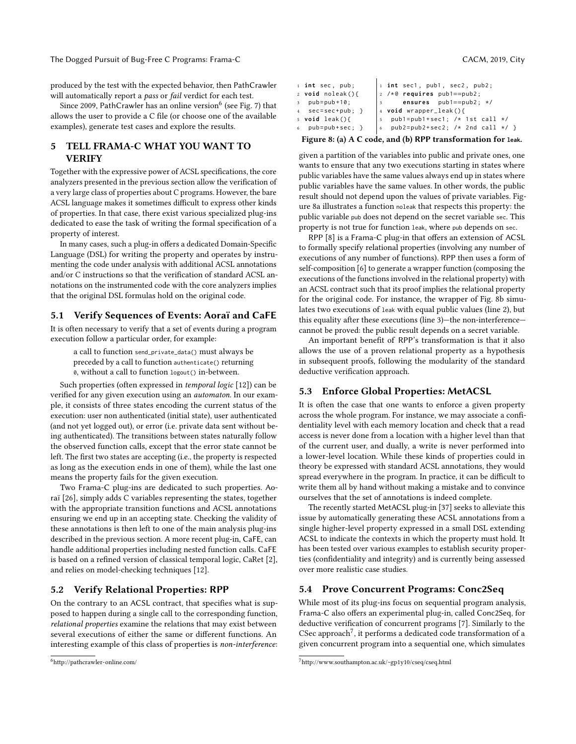produced by the test with the expected behavior, then PathCrawler will automatically report a pass or fail verdict for each test.

Since 2009, PathCrawler has an online version $^6$  $^6$  (see Fig. [7\)](#page-5-2) that allows the user to provide a C file (or choose one of the available examples), generate test cases and explore the results.

# 5 TELL FRAMA-C WHAT YOU WANT TO VERIFY

Together with the expressive power of ACSL specifications, the core analyzers presented in the previous section allow the verification of a very large class of properties about C programs. However, the bare ACSL language makes it sometimes difficult to express other kinds of properties. In that case, there exist various specialized plug-ins dedicated to ease the task of writing the formal specification of a property of interest.

In many cases, such a plug-in offers a dedicated Domain-Specific Language (DSL) for writing the property and operates by instrumenting the code under analysis with additional ACSL annotations and/or C instructions so that the verification of standard ACSL annotations on the instrumented code with the core analyzers implies that the original DSL formulas hold on the original code.

# 5.1 Verify Sequences of Events: Aoraï and CaFE

It is often necessary to verify that a set of events during a program execution follow a particular order, for example:

a call to function send\_private\_data() must always be preceded by a call to function authenticate() returning 0, without a call to function logout() in-between.

Such properties (often expressed in temporal logic [\[12\]](#page-9-19)) can be verified for any given execution using an automaton. In our example, it consists of three states encoding the current status of the execution: user non authenticated (initial state), user authenticated (and not yet logged out), or error (i.e. private data sent without being authenticated). The transitions between states naturally follow the observed function calls, except that the error state cannot be left. The first two states are accepting (i.e., the property is respected as long as the execution ends in one of them), while the last one means the property fails for the given execution.

Two Frama-C plug-ins are dedicated to such properties. Aoraï [\[26\]](#page-9-1), simply adds C variables representing the states, together with the appropriate transition functions and ACSL annotations ensuring we end up in an accepting state. Checking the validity of these annotations is then left to one of the main analysis plug-ins described in the previous section. A more recent plug-in, CaFE, can handle additional properties including nested function calls. CaFE is based on a refined version of classical temporal logic, CaRet [\[2\]](#page-9-20), and relies on model-checking techniques [\[12\]](#page-9-19).

#### 5.2 Verify Relational Properties: RPP

On the contrary to an ACSL contract, that specifies what is supposed to happen during a single call to the corresponding function, relational properties examine the relations that may exist between several executions of either the same or different functions. An interesting example of this class of properties is non-interference:

```
6http://pathcrawler-online.com/
```

```
1 int sec1 , pub1 , sec2 , pub2 ;
```

```
1 int sec , pub ;
2 void noleak () {
3 pub=pub+10;
4 sec=sec+pub; }
5 void leak () {
6 pub = pub + sec :
                       2 /* @ requires pub1==pub2 ;
                             ensures pub1==pub2; */
                       4 void wrapper_leak () {
                          pub1 = pub1 + sec1; /* 1st call */
                       6 pub2=pub2+sec2; /* 2nd call */ }
```
## Figure 8: (a) A C code, and (b) RPP transformation for **leak**.

given a partition of the variables into public and private ones, one wants to ensure that any two executions starting in states where public variables have the same values always end up in states where public variables have the same values. In other words, the public result should not depend upon the values of private variables. Figure [8a](#page-6-1) illustrates a function noleak that respects this property: the public variable pub does not depend on the secret variable sec. This property is not true for function leak, where pub depends on sec.

RPP [\[8\]](#page-9-21) is a Frama-C plug-in that offers an extension of ACSL to formally specify relational properties (involving any number of executions of any number of functions). RPP then uses a form of self-composition [\[6\]](#page-9-22) to generate a wrapper function (composing the executions of the functions involved in the relational property) with an ACSL contract such that its proof implies the relational property for the original code. For instance, the wrapper of Fig. [8b](#page-6-1) simulates two executions of leak with equal public values (line 2), but this equality after these executions (line 3)—the non-interference cannot be proved: the public result depends on a secret variable.

An important benefit of RPP's transformation is that it also allows the use of a proven relational property as a hypothesis in subsequent proofs, following the modularity of the standard deductive verification approach.

### 5.3 Enforce Global Properties: MetACSL

It is often the case that one wants to enforce a given property across the whole program. For instance, we may associate a confidentiality level with each memory location and check that a read access is never done from a location with a higher level than that of the current user, and dually, a write is never performed into a lower-level location. While these kinds of properties could in theory be expressed with standard ACSL annotations, they would spread everywhere in the program. In practice, it can be difficult to write them all by hand without making a mistake and to convince ourselves that the set of annotations is indeed complete.

The recently started MetACSL plug-in [\[37\]](#page-9-23) seeks to alleviate this issue by automatically generating these ACSL annotations from a single higher-level property expressed in a small DSL extending ACSL to indicate the contexts in which the property must hold. It has been tested over various examples to establish security properties (confidentiality and integrity) and is currently being assessed over more realistic case studies.

## 5.4 Prove Concurrent Programs: Conc2Seq

While most of its plug-ins focus on sequential program analysis, Frama-C also offers an experimental plug-in, called Conc2Seq, for deductive verification of concurrent programs [\[7\]](#page-9-24). Similarly to the CSec approach<sup>[7](#page-6-2)</sup>, it performs a dedicated code transformation of a given concurrent program into a sequential one, which simulates

<span id="page-6-2"></span><sup>7</sup><http://www.southampton.ac.uk/~gp1y10/cseq/cseq.html>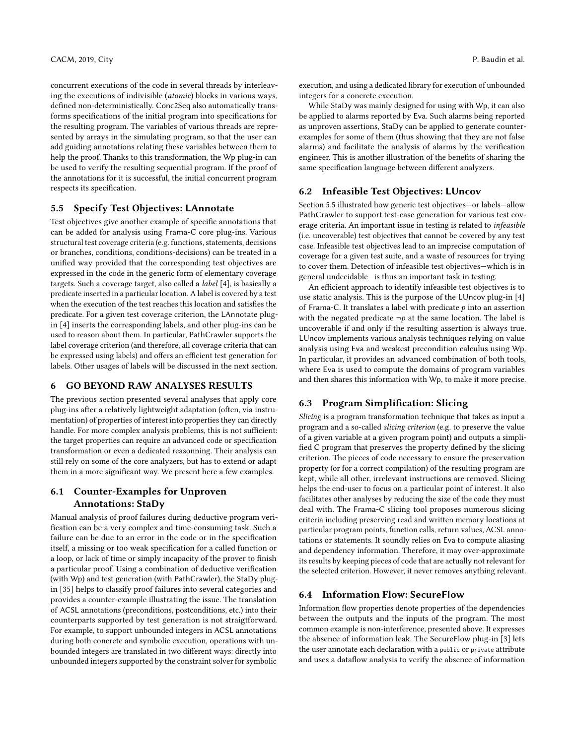concurrent executions of the code in several threads by interleaving the executions of indivisible (atomic) blocks in various ways, defined non-deterministically. Conc2Seq also automatically transforms specifications of the initial program into specifications for the resulting program. The variables of various threads are represented by arrays in the simulating program, so that the user can add guiding annotations relating these variables between them to help the proof. Thanks to this transformation, the Wp plug-in can be used to verify the resulting sequential program. If the proof of the annotations for it is successful, the initial concurrent program respects its specification.

# <span id="page-7-0"></span>5.5 Specify Test Objectives: LAnnotate

Test objectives give another example of specific annotations that can be added for analysis using Frama-C core plug-ins. Various structural test coverage criteria (e.g. functions, statements, decisions or branches, conditions, conditions-decisions) can be treated in a unified way provided that the corresponding test objectives are expressed in the code in the generic form of elementary coverage targets. Such a coverage target, also called a label [\[4\]](#page-9-25), is basically a predicate inserted in a particular location. A label is covered by a test when the execution of the test reaches this location and satisfies the predicate. For a given test coverage criterion, the LAnnotate plugin [\[4\]](#page-9-25) inserts the corresponding labels, and other plug-ins can be used to reason about them. In particular, PathCrawler supports the label coverage criterion (and therefore, all coverage criteria that can be expressed using labels) and offers an efficient test generation for labels. Other usages of labels will be discussed in the next section.

# 6 GO BEYOND RAW ANALYSES RESULTS

The previous section presented several analyses that apply core plug-ins after a relatively lightweight adaptation (often, via instrumentation) of properties of interest into properties they can directly handle. For more complex analysis problems, this is not sufficient: the target properties can require an advanced code or specification transformation or even a dedicated reasonning. Their analysis can still rely on some of the core analyzers, but has to extend or adapt them in a more significant way. We present here a few examples.

# <span id="page-7-1"></span>6.1 Counter-Examples for Unproven Annotations: StaDy

Manual analysis of proof failures during deductive program verification can be a very complex and time-consuming task. Such a failure can be due to an error in the code or in the specification itself, a missing or too weak specification for a called function or a loop, or lack of time or simply incapacity of the prover to finish a particular proof. Using a combination of deductive verification (with Wp) and test generation (with PathCrawler), the StaDy plugin [\[35\]](#page-9-26) helps to classify proof failures into several categories and provides a counter-example illustrating the issue. The translation of ACSL annotations (preconditions, postconditions, etc.) into their counterparts supported by test generation is not straigtforward. For example, to support unbounded integers in ACSL annotations during both concrete and symbolic execution, operations with unbounded integers are translated in two different ways: directly into unbounded integers supported by the constraint solver for symbolic

execution, and using a dedicated library for execution of unbounded integers for a concrete execution.

While StaDy was mainly designed for using with Wp, it can also be applied to alarms reported by Eva. Such alarms being reported as unproven assertions, StaDy can be applied to generate counterexamples for some of them (thus showing that they are not false alarms) and facilitate the analysis of alarms by the verification engineer. This is another illustration of the benefits of sharing the same specification language between different analyzers.

# 6.2 Infeasible Test Objectives: LUncov

Section [5.5](#page-7-0) illustrated how generic test objectives—or labels—allow PathCrawler to support test-case generation for various test coverage criteria. An important issue in testing is related to infeasible (i.e. uncoverable) test objectives that cannot be covered by any test case. Infeasible test objectives lead to an imprecise computation of coverage for a given test suite, and a waste of resources for trying to cover them. Detection of infeasible test objectives—which is in general undecidable—is thus an important task in testing.

An efficient approach to identify infeasible test objectives is to use static analysis. This is the purpose of the LUncov plug-in [\[4\]](#page-9-25) of Frama-C. It translates a label with predicate  $p$  into an assertion with the negated predicate  $\neg p$  at the same location. The label is uncoverable if and only if the resulting assertion is always true. LUncov implements various analysis techniques relying on value analysis using Eva and weakest precondition calculus using Wp. In particular, it provides an advanced combination of both tools, where Eva is used to compute the domains of program variables and then shares this information with Wp, to make it more precise.

## 6.3 Program Simplification: Slicing

Slicing is a program transformation technique that takes as input a program and a so-called slicing criterion (e.g. to preserve the value of a given variable at a given program point) and outputs a simplified C program that preserves the property defined by the slicing criterion. The pieces of code necessary to ensure the preservation property (or for a correct compilation) of the resulting program are kept, while all other, irrelevant instructions are removed. Slicing helps the end-user to focus on a particular point of interest. It also facilitates other analyses by reducing the size of the code they must deal with. The Frama-C slicing tool proposes numerous slicing criteria including preserving read and written memory locations at particular program points, function calls, return values, ACSL annotations or statements. It soundly relies on Eva to compute aliasing and dependency information. Therefore, it may over-approximate its results by keeping pieces of code that are actually not relevant for the selected criterion. However, it never removes anything relevant.

## 6.4 Information Flow: SecureFlow

Information flow properties denote properties of the dependencies between the outputs and the inputs of the program. The most common example is non-interference, presented above. It expresses the absence of information leak. The SecureFlow plug-in [\[3\]](#page-9-27) lets the user annotate each declaration with a public or private attribute and uses a dataflow analysis to verify the absence of information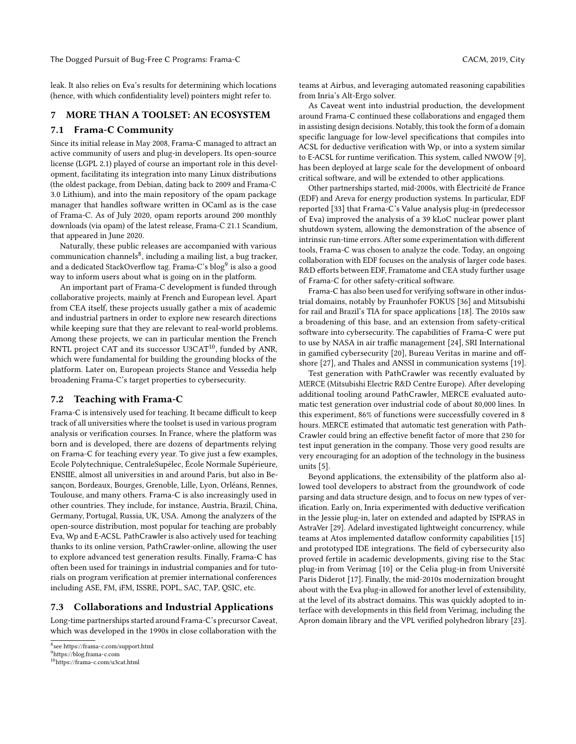leak. It also relies on Eva's results for determining which locations (hence, with which confidentiality level) pointers might refer to.

## 7 MORE THAN A TOOLSET: AN ECOSYSTEM

#### 7.1 Frama-C Community

Since its initial release in May 2008, Frama-C managed to attract an active community of users and plug-in developers. Its open-source license (LGPL 2.1) played of course an important role in this development, facilitating its integration into many Linux distributions (the oldest package, from Debian, dating back to 2009 and Frama-C 3.0 Lithium), and into the main repository of the opam package manager that handles software written in OCaml as is the case of Frama-C. As of July 2020, opam reports around 200 monthly downloads (via opam) of the latest release, Frama-C 21.1 Scandium, that appeared in June 2020.

Naturally, these public releases are accompanied with various communication channels $^8$  $^8$ , including a mailing list, a bug tracker, and a dedicated StackOverflow tag. Frama-C's blog<sup>[9](#page-8-1)</sup> is also a good way to inform users about what is going on in the platform.

An important part of Frama-C development is funded through collaborative projects, mainly at French and European level. Apart from CEA itself, these projects usually gather a mix of academic and industrial partners in order to explore new research directions while keeping sure that they are relevant to real-world problems. Among these projects, we can in particular mention the French RNTL project CAT and its successor U3CAT<sup>[10](#page-8-2)</sup>, funded by ANR, which were fundamental for building the grounding blocks of the platform. Later on, European projects Stance and Vessedia help broadening Frama-C's target properties to cybersecurity.

#### 7.2 Teaching with Frama-C

Frama-C is intensively used for teaching. It became difficult to keep track of all universities where the toolset is used in various program analysis or verification courses. In France, where the platform was born and is developed, there are dozens of departments relying on Frama-C for teaching every year. To give just a few examples, Ecole Polytechnique, CentraleSupélec, École Normale Supérieure, ENSIIE, almost all universities in and around Paris, but also in Besançon, Bordeaux, Bourges, Grenoble, Lille, Lyon, Orléans, Rennes, Toulouse, and many others. Frama-C is also increasingly used in other countries. They include, for instance, Austria, Brazil, China, Germany, Portugal, Russia, UK, USA. Among the analyzers of the open-source distribution, most popular for teaching are probably Eva, Wp and E-ACSL. PathCrawler is also actively used for teaching thanks to its online version, PathCrawler-online, allowing the user to explore advanced test generation results. Finally, Frama-C has often been used for trainings in industrial companies and for tutorials on program verification at premier international conferences including ASE, FM, iFM, ISSRE, POPL, SAC, TAP, QSIC, etc.

#### 7.3 Collaborations and Industrial Applications

Long-time partnerships started around Frama-C's precursor Caveat, which was developed in the 1990s in close collaboration with the

<span id="page-8-1"></span><sup>9</sup><https://blog.frama-c.com>

teams at Airbus, and leveraging automated reasoning capabilities from Inria's Alt-Ergo solver.

As Caveat went into industrial production, the development around Frama-C continued these collaborations and engaged them in assisting design decisions. Notably, this took the form of a domain specific language for low-level specifications that compiles into ACSL for deductive verification with Wp, or into a system similar to E-ACSL for runtime verification. This system, called NWOW [\[9\]](#page-9-15), has been deployed at large scale for the development of onboard critical software, and will be extended to other applications.

Other partnerships started, mid-2000s, with Électricité de France (EDF) and Areva for energy production systems. In particular, EDF reported [\[33\]](#page-9-10) that Frama-C's Value analysis plug-in (predecessor of Eva) improved the analysis of a 39 kLoC nuclear power plant shutdown system, allowing the demonstration of the absence of intrinsic run-time errors. After some experimentation with different tools, Frama-C was chosen to analyze the code. Today, an ongoing collaboration with EDF focuses on the analysis of larger code bases. R&D efforts between EDF, Framatome and CEA study further usage of Frama-C for other safety-critical software.

Frama-C has also been used for verifying software in other industrial domains, notably by Fraunhofer FOKUS [\[36\]](#page-9-28) and Mitsubishi for rail and Brazil's TIA for space applications [\[18\]](#page-9-29). The 2010s saw a broadening of this base, and an extension from safety-critical software into cybersecurity. The capabilities of Frama-C were put to use by NASA in air traffic management [\[24\]](#page-9-30), SRI International in gamified cybersecurity [\[20\]](#page-9-31), Bureau Veritas in marine and offshore [\[27\]](#page-9-32), and Thales and ANSSI in communication systems [\[19\]](#page-9-33).

Test generation with PathCrawler was recently evaluated by MERCE (Mitsubishi Electric R&D Centre Europe). After developing additional tooling around PathCrawler, MERCE evaluated automatic test generation over industrial code of about 80,000 lines. In this experiment, 86% of functions were successfully covered in 8 hours. MERCE estimated that automatic test generation with Path-Crawler could bring an effective benefit factor of more that 230 for test input generation in the company. Those very good results are very encouraging for an adoption of the technology in the business units [\[5\]](#page-9-34).

Beyond applications, the extensibility of the platform also allowed tool developers to abstract from the groundwork of code parsing and data structure design, and to focus on new types of verification. Early on, Inria experimented with deductive verification in the Jessie plug-in, later on extended and adapted by ISPRAS in AstraVer [\[29\]](#page-9-35). Adelard investigated lightweight concurrency, while teams at Atos implemented dataflow conformity capabilities [\[15\]](#page-9-36) and prototyped IDE integrations. The field of cybersecurity also proved fertile in academic developments, giving rise to the Stac plug-in from Verimag [\[10\]](#page-9-37) or the Celia plug-in from Université Paris Diderot [\[17\]](#page-9-38). Finally, the mid-2010s modernization brought about with the Eva plug-in allowed for another level of extensibility, at the level of its abstract domains. This was quickly adopted to interface with developments in this field from Verimag, including the Apron domain library and the VPL verified polyhedron library [\[23\]](#page-9-39).

<span id="page-8-0"></span><sup>8</sup> see<https://frama-c.com/support.html>

<span id="page-8-2"></span><sup>10</sup><https://frama-c.com/u3cat.html>